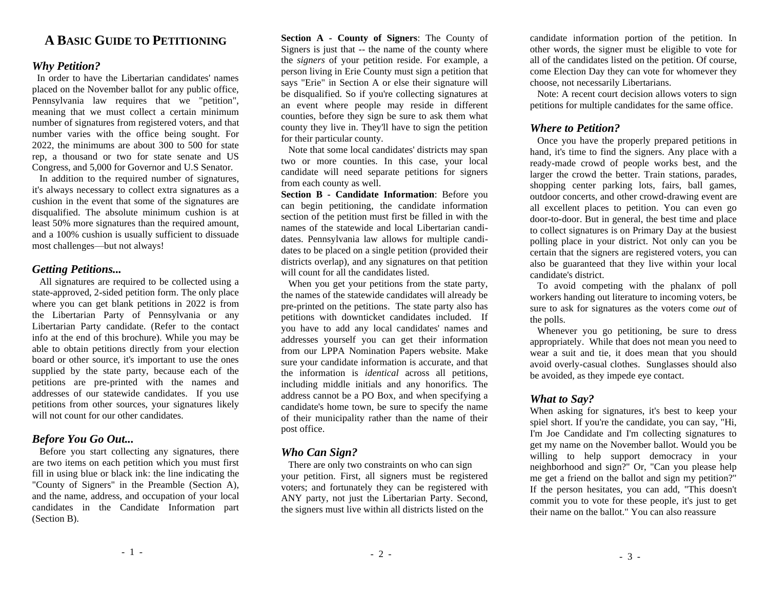## **A BASIC GUIDE TO PETITIONING**

#### *Why Petition?*

 In order to have the Libertarian candidates' names placed on the November ballot for any public office, Pennsylvania law requires that we "petition", meaning that we must collect a certain minimum number of signatures from registered voters, and that number varies with the office being sought. For 2022, the minimums are about 300 to 500 for state rep, a thousand or two for state senate and US Congress, and 5,000 for Governor and U.S Senator.

 In addition to the required number of signatures, it's always necessary to collect extra signatures as a cushion in the event that some of the signatures are disqualified. The absolute minimum cushion is at least 50% more signatures than the required amount, and a 100% cushion is usually sufficient to dissuade most challenges—but not always!

#### *Getting Petitions...*

 All signatures are required to be collected using a state-approved, 2-sided petition form. The only place where you can get blank petitions in 2022 is from the Libertarian Party of Pennsylvania or any Libertarian Party candidate. (Refer to the contact info at the end of this brochure). While you may be able to obtain petitions directly from your election board or other source, it's important to use the ones supplied by the state party, because each of the petitions are pre-printed with the names and addresses of our statewide candidates. If you use petitions from other sources, your signatures likely will not count for our other candidates.

## *Before You Go Out...*

 Before you start collecting any signatures, there are two items on each petition which you must first fill in using blue or black ink: the line indicating the "County of Signers" in the Preamble (Section A), and the name, address, and occupation of your local candidates in the Candidate Information part (Section B).

**Section A - County of Signers**: The County of Signers is just that -- the name of the county where the *signers* of your petition reside. For example, a person living in Erie County must sign a petition that says "Erie" in Section A or else their signature will be disqualified. So if you're collecting signatures at an event where people may reside in different counties, before they sign be sure to ask them what county they live in. They'll have to sign the petition for their particular county.

 Note that some local candidates' districts may span two or more counties. In this case, your local candidate will need separate petitions for signers from each county as well.

**Section B - Candidate Information**: Before you can begin petitioning, the candidate information section of the petition must first be filled in with the names of the statewide and local Libertarian candidates. Pennsylvania law allows for multiple candidates to be placed on a single petition (provided their districts overlap), and any signatures on that petition will count for all the candidates listed.

 When you get your petitions from the state party, the names of the statewide candidates will already be pre-printed on the petitions. The state party also has petitions with downticket candidates included. If you have to add any local candidates' names and addresses yourself you can get their information from our LPPA Nomination Papers website. Make sure your candidate information is accurate, and that the information is *identical* across all petitions, including middle initials and any honorifics. The address cannot be a PO Box, and when specifying a candidate's home town, be sure to specify the name of their municipality rather than the name of their post office.

#### *Who Can Sign?*

There are only two constraints on who can sign your petition. First, all signers must be registered voters; and fortunately they can be registered with ANY party, not just the Libertarian Party. Second, the signers must live within all districts listed on the

candidate information portion of the petition. In other words, the signer must be eligible to vote for all of the candidates listed on the petition. Of course, come Election Day they can vote for whomever they choose, not necessarily Libertarians.

 Note: A recent court decision allows voters to sign petitions for multiple candidates for the same office.

#### *Where to Petition?*

 Once you have the properly prepared petitions in hand, it's time to find the signers. Any place with a ready-made crowd of people works best, and the larger the crowd the better. Train stations, parades, shopping center parking lots, fairs, ball games, outdoor concerts, and other crowd-drawing event are all excellent places to petition. You can even go door-to-door. But in general, the best time and place to collect signatures is on Primary Day at the busiest polling place in your district. Not only can you be certain that the signers are registered voters, you can also be guaranteed that they live within your local candidate's district.

 To avoid competing with the phalanx of poll workers handing out literature to incoming voters, be sure to ask for signatures as the voters come *out* of the polls.

Whenever you go petitioning, be sure to dress appropriately. While that does not mean you need to wear a suit and tie, it does mean that you should avoid overly-casual clothes. Sunglasses should also be avoided, as they impede eye contact.

## *What to Say?*

When asking for signatures, it's best to keep your spiel short. If you're the candidate, you can say, "Hi, I'm Joe Candidate and I'm collecting signatures to get my name on the November ballot. Would you be willing to help support democracy in your neighborhood and sign?" Or, "Can you please help me get a friend on the ballot and sign my petition?" If the person hesitates, you can add, "This doesn't commit you to vote for these people, it's just to get their name on the ballot." You can also reassure